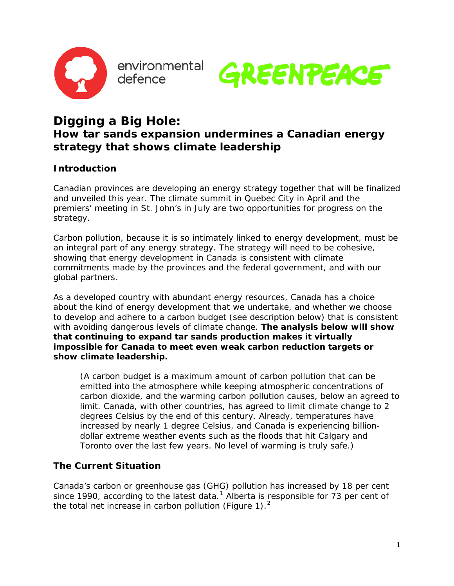

environmental defence



# **Digging a Big Hole:**

# **How tar sands expansion undermines a Canadian energy strategy that shows climate leadership**

# **Introduction**

Canadian provinces are developing an energy strategy together that will be finalized and unveiled this year. The climate summit in Quebec City in April and the premiers' meeting in St. John's in July are two opportunities for progress on the strategy.

Carbon pollution, because it is so intimately linked to energy development, must be an integral part of any energy strategy. The strategy will need to be cohesive, showing that energy development in Canada is consistent with climate commitments made by the provinces and the federal government, and with our global partners.

As a developed country with abundant energy resources, Canada has a choice about the kind of energy development that we undertake, and whether we choose to develop and adhere to a carbon budget (see description below) that is consistent with avoiding dangerous levels of climate change. **The analysis below will show that continuing to expand tar sands production makes it virtually impossible for Canada to meet even weak carbon reduction targets or show climate leadership.**

(A carbon budget is a maximum amount of carbon pollution that can be emitted into the atmosphere while keeping atmospheric concentrations of carbon dioxide, and the warming carbon pollution causes, below an agreed to limit. Canada, with other countries, has agreed to limit climate change to 2 degrees Celsius by the end of this century. Already, temperatures have increased by nearly 1 degree Celsius, and Canada is experiencing billiondollar extreme weather events such as the floods that hit Calgary and Toronto over the last few years. No level of warming is truly safe.)

### **The Current Situation**

Canada's carbon or greenhouse gas (GHG) pollution has increased by 18 per cent since [1](#page-5-0)990, according to the latest data.<sup>1</sup> Alberta is responsible for 73 per cent of the total net increase in carbon pollution (Figure 1).<sup>[2](#page-5-1)</sup>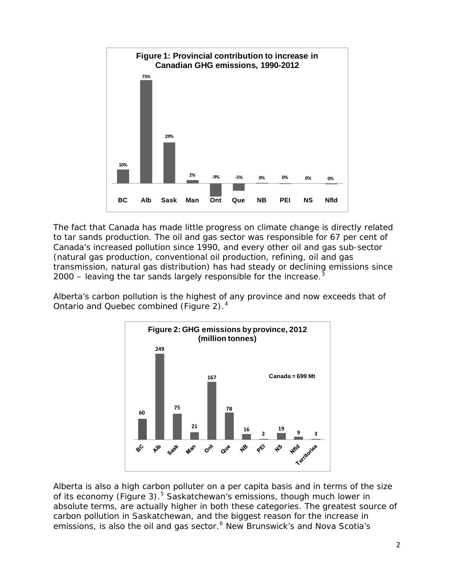

The fact that Canada has made little progress on climate change is directly related to tar sands production. The oil and gas sector was responsible for 67 per cent of Canada's increased pollution since 1990, and every other oil and gas sub-sector (natural gas production, conventional oil production, refining, oil and gas transmission, natural gas distribution) has had steady or declining emissions since 2000 – leaving the tar sands largely responsible for the increase. $3$ 

Alberta's carbon pollution is the highest of any province and now exceeds that of Ontario and Quebec combined (Figure 2).<sup>[4](#page-5-3)</sup>



Alberta is also a high carbon polluter on a per capita basis and in terms of the size of its economy (Figure 3).<sup>[5](#page-5-4)</sup> Saskatchewan's emissions, though much lower in absolute terms, are actually higher in both these categories. The greatest source of carbon pollution in Saskatchewan, and the biggest reason for the increase in emissions, is also the oil and gas sector.<sup>[6](#page-5-5)</sup> New Brunswick's and Nova Scotia's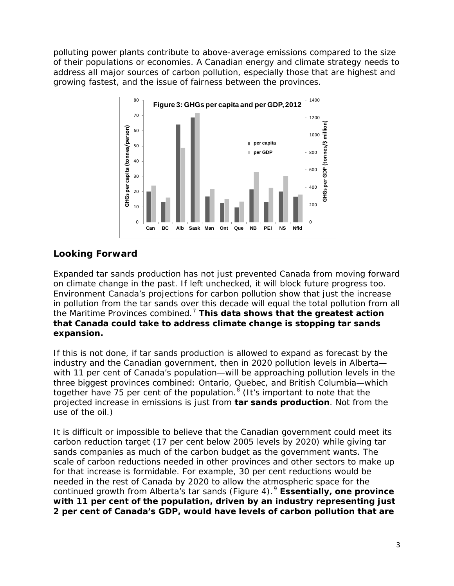polluting power plants contribute to above-average emissions compared to the size of their populations or economies. A Canadian energy and climate strategy needs to address all major sources of carbon pollution, especially those that are highest and growing fastest, and the issue of fairness between the provinces.



## **Looking Forward**

Expanded tar sands production has not just prevented Canada from moving forward on climate change in the past. If left unchecked, it will block future progress too. Environment Canada's projections for carbon pollution show that just the *increase*  in pollution from the tar sands over this decade will equal the *total* pollution from all the Maritime Provinces combined. [7](#page-5-6) **This data shows that the greatest action that Canada could take to address climate change is stopping tar sands expansion.**

If this is not done, if tar sands production is allowed to expand as forecast by the industry and the Canadian government, then in 2020 pollution levels in Alberta with 11 per cent of Canada's population—will be approaching pollution levels in the three biggest provinces combined: Ontario, Quebec, and British Columbia—which together have 75 per cent of the population.<sup>[8](#page-5-7)</sup> (It's important to note that the projected increase in emissions is just from **tar sands production**. Not from the use of the oil.)

It is difficult or impossible to believe that the Canadian government could meet its carbon reduction target (17 per cent below 2005 levels by 2020) while giving tar sands companies as much of the carbon budget as the government wants. The scale of carbon reductions needed in other provinces and other sectors to make up for that increase is formidable. For example, 30 per cent reductions would be needed in the rest of Canada by 2020 to allow the atmospheric space for the continued growth from Alberta's tar sands (Figure 4). [9](#page-5-8) **Essentially, one province with 11 per cent of the population, driven by an industry representing just 2 per cent of Canada's GDP, would have levels of carbon pollution that are**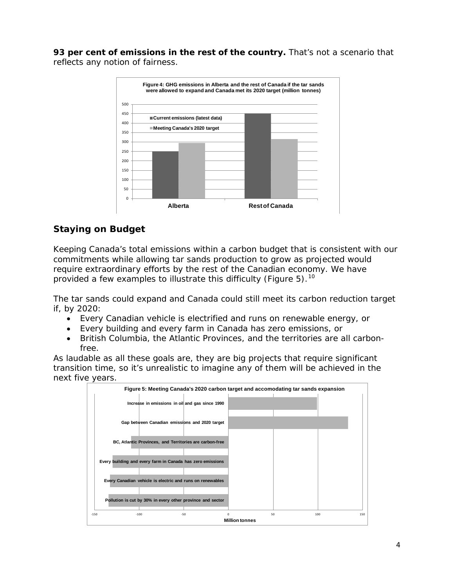**93 per cent of emissions in the rest of the country.** That's not a scenario that reflects any notion of fairness.



# **Staying on Budget**

Keeping Canada's total emissions within a carbon budget that is consistent with our commitments while allowing tar sands production to grow as projected would require extraordinary efforts by the rest of the Canadian economy. We have provided a few examples to illustrate this difficulty (Figure 5).<sup>[10](#page-5-9)</sup>

The tar sands could expand and Canada could still meet its carbon reduction target if, by 2020:

- Every Canadian vehicle is electrified and runs on renewable energy, or
- Every building and every farm in Canada has zero emissions, or
- British Columbia, the Atlantic Provinces, and the territories are all carbonfree.

As laudable as all these goals are, they are big projects that require significant transition time, so it's unrealistic to imagine any of them will be achieved in the next five years.

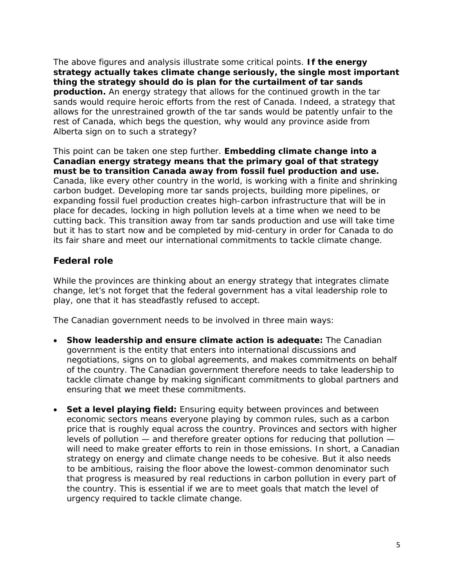The above figures and analysis illustrate some critical points. **If the energy strategy actually takes climate change seriously, the single most important thing the strategy should do is plan for the curtailment of tar sands production.** An energy strategy that allows for the continued growth in the tar sands would require heroic efforts from the rest of Canada. Indeed, a strategy that allows for the unrestrained growth of the tar sands would be patently unfair to the rest of Canada, which begs the question, why would any province aside from Alberta sign on to such a strategy?

This point can be taken one step further. **Embedding climate change into a Canadian energy strategy means that the primary goal of that strategy must be to transition Canada away from fossil fuel production and use.** Canada, like every other country in the world, is working with a finite and shrinking carbon budget. Developing more tar sands projects, building more pipelines, or expanding fossil fuel production creates high-carbon infrastructure that will be in place for decades, locking in high pollution levels at a time when we need to be cutting back. This transition away from tar sands production and use will take time but it has to start now and be completed by mid-century in order for Canada to do its fair share and meet our international commitments to tackle climate change.

#### **Federal role**

While the provinces are thinking about an energy strategy that integrates climate change, let's not forget that the federal government has a vital leadership role to play, one that it has steadfastly refused to accept.

The Canadian government needs to be involved in three main ways:

- **Show leadership and ensure climate action is adequate:** The Canadian government is the entity that enters into international discussions and negotiations, signs on to global agreements, and makes commitments on behalf of the country. The Canadian government therefore needs to take leadership to tackle climate change by making significant commitments to global partners and ensuring that we meet these commitments.
- **Set a level playing field:** Ensuring equity between provinces and between economic sectors means everyone playing by common rules, such as a carbon price that is roughly equal across the country. Provinces and sectors with higher levels of pollution — and therefore greater options for reducing that pollution will need to make greater efforts to rein in those emissions. In short, a Canadian strategy on energy and climate change needs to be cohesive. But it also needs to be ambitious, raising the floor above the lowest-common denominator such that progress is measured by real reductions in carbon pollution in every part of the country. This is essential if we are to meet goals that match the level of urgency required to tackle climate change.